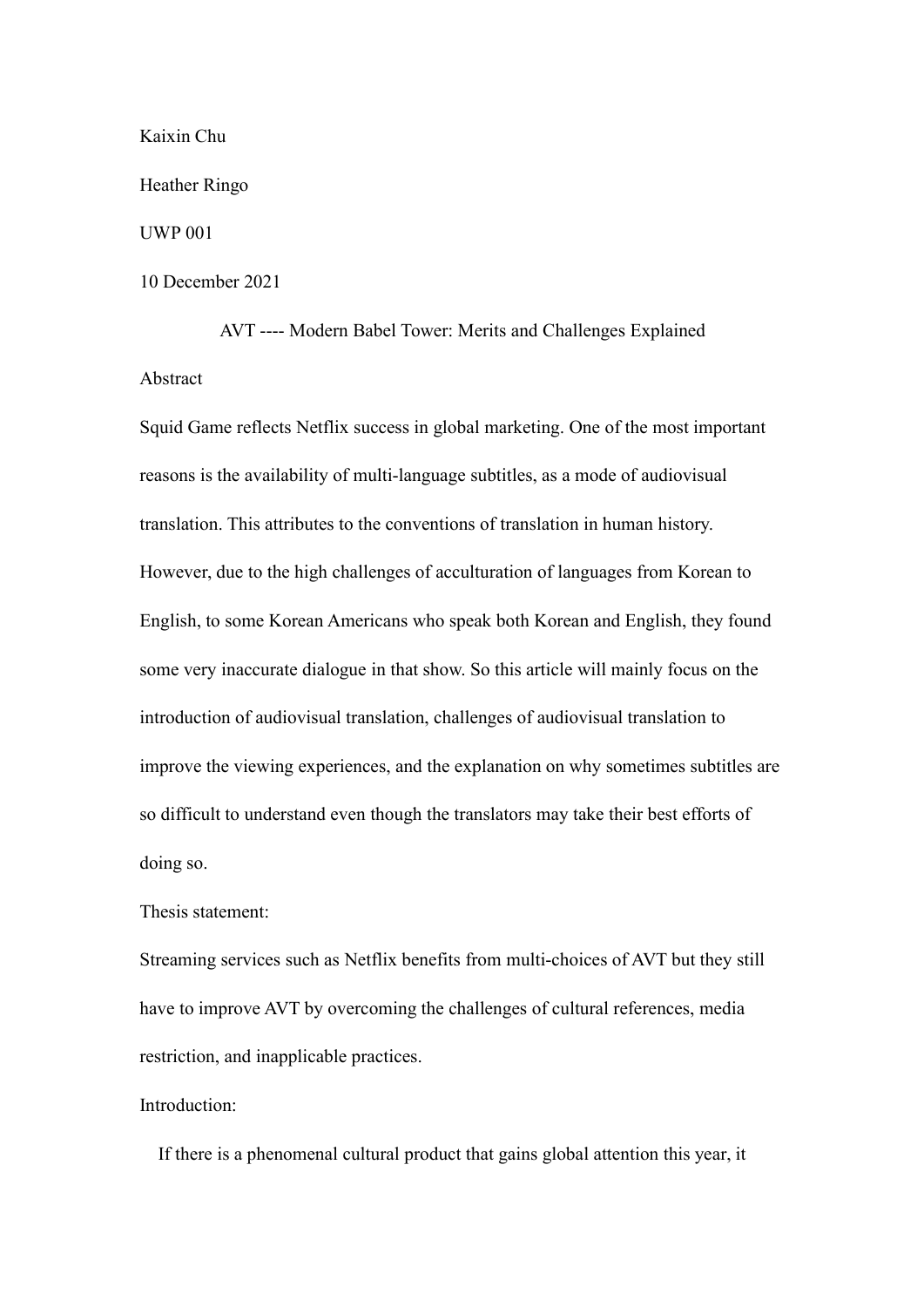Kaixin Chu

Heather Ringo

UWP 001

10 December 2021

AVT ---- Modern Babel Tower: Merits and Challenges Explained Abstract

Squid Game reflects Netflix success in global marketing. One of the most important reasons is the availability of multi-language subtitles, as a mode of audiovisual translation. This attributes to the conventions of translation in human history. However, due to the high challenges of acculturation of languages from Korean to English, to some Korean Americans who speak both Korean and English, they found some very inaccurate dialogue in that show. So this article will mainly focus on the introduction of audiovisual translation, challenges of audiovisual translation to improve the viewing experiences, and the explanation on why sometimes subtitles are so difficult to understand even though the translators may take their best efforts of doing so.

## Thesis statement:

Streaming services such as Netflix benefits from multi-choices of AVT but they still have to improve AVT by overcoming the challenges of cultural references, media restriction, and inapplicable practices.

## Introduction:

If there is a phenomenal cultural product that gains global attention this year, it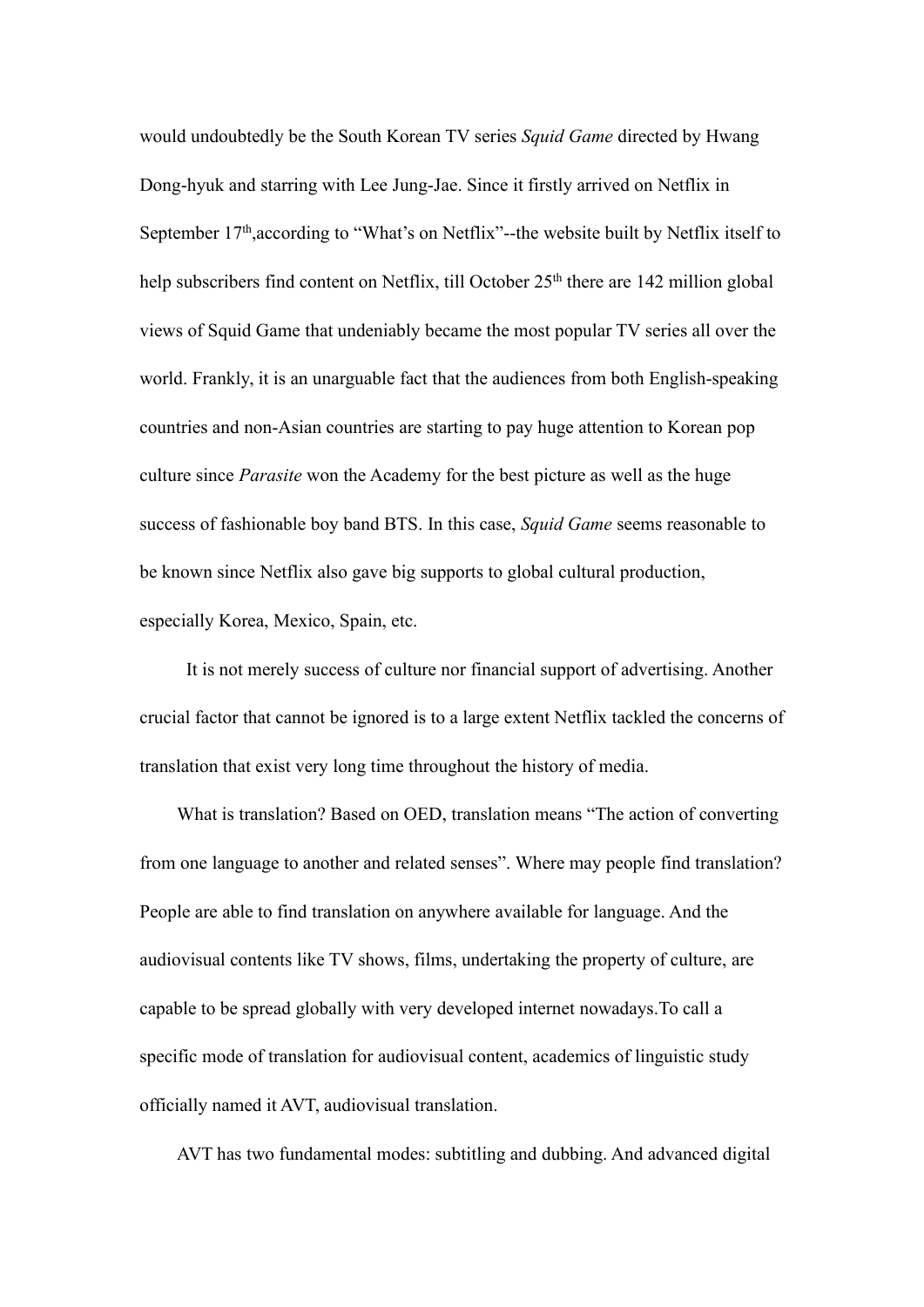would undoubtedly be the South Korean TV series *Squid Game* directed by Hwang Dong-hyuk and starring with Lee Jung-Jae. Since it firstly arrived on Netflix in September 17<sup>th</sup>, according to "What's on Netflix"--the website built by Netflix itself to help subscribers find content on Netflix, till October 25<sup>th</sup> there are 142 million global views of Squid Game that undeniably became the most popular TV series all over the world. Frankly, it is an unarguable fact that the audiences from both English-speaking countries and non-Asian countries are starting to pay huge attention to Korean pop culture since *Parasite* won the Academy for the best picture aswell as the huge success of fashionable boy band BTS. In this case, *Squid Game* seems reasonable to be known since Netflix also gave big supports to global cultural production, especially Korea, Mexico, Spain, etc.

It is not merely success of culture nor financial support of advertising. Another crucial factor that cannot be ignored is to a large extent Netflix tackled the concerns of translation that exist very long time throughout the history of media.

What is translation? Based on OED, translation means "The action of converting from one language to another and related senses". Where may people find translation? People are able to find translation on anywhere available for language. And the audiovisual contents like TV shows, films, undertaking the property of culture, are capable to be spread globally with very developed internet nowadays.To call a specific mode of translation for audiovisual content, academics of linguistic study officially named it AVT, audiovisual translation.

AVT has two fundamental modes: subtitling and dubbing. And advanced digital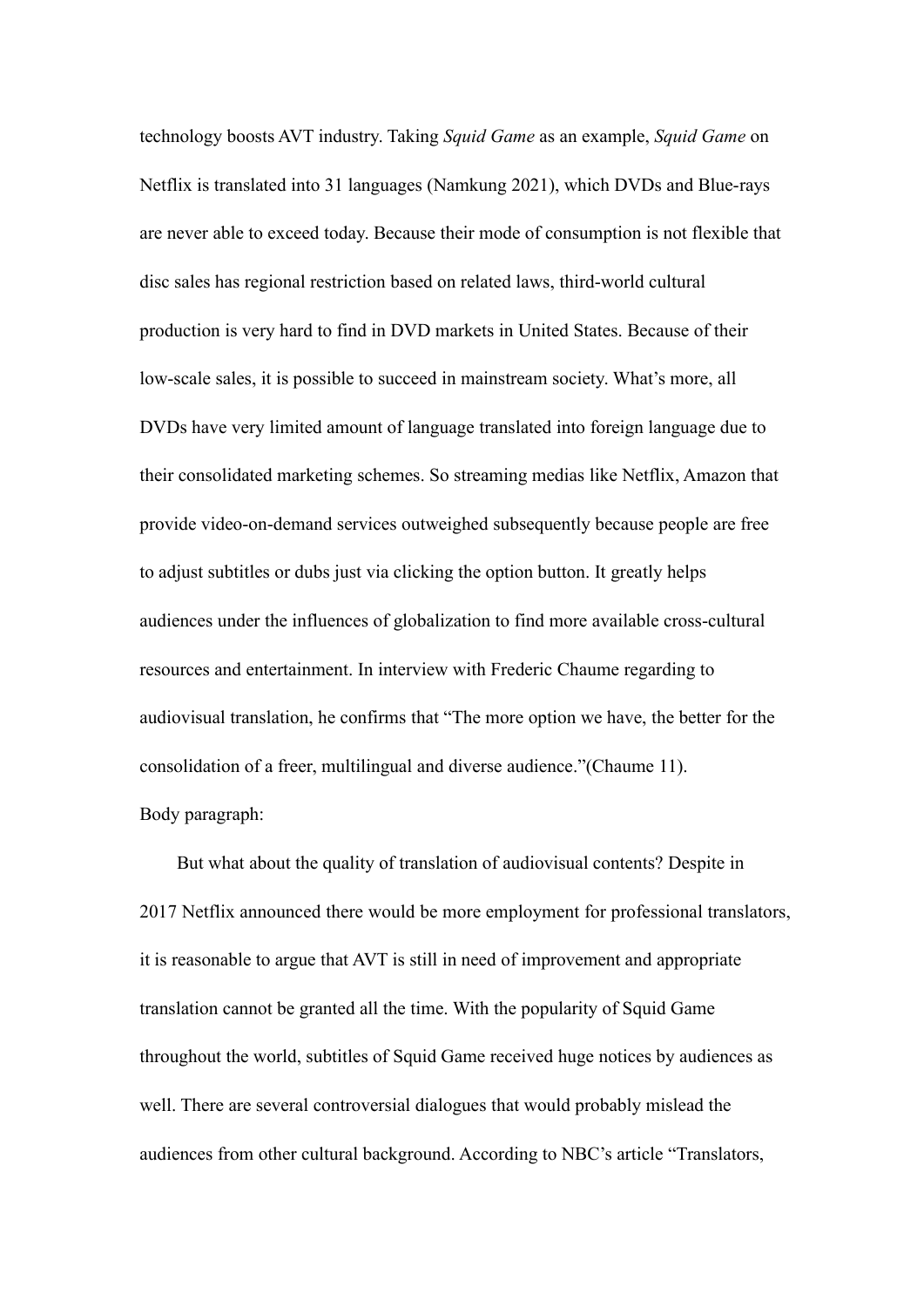technology boosts AVT industry. Taking *Squid Game* asan example, *Squid Game* on Netflix is translated into 31 languages (Namkung 2021), which DVDs and Blue-rays are never able to exceed today. Because their mode of consumption is not flexible that disc sales has regional restriction based on related laws, third-world cultural production is very hard to find in DVD markets in United States. Because of their low-scale sales, it is possible to succeed in mainstream society. What's more, all DVDs have very limited amount of language translated into foreign language due to their consolidated marketing schemes. So streaming medias like Netflix, Amazon that provide video-on-demand services outweighed subsequently because people are free to adjust subtitles or dubs just via clicking the option button. It greatly helps audiences under the influences of globalization to find more available cross-cultural resources and entertainment. In interview with Frederic Chaume regarding to audiovisual translation, he confirms that "The more option we have, the better for the consolidation of a freer, multilingual and diverse audience."(Chaume 11). Body paragraph:

But what about the quality of translation of audiovisual contents? Despite in 2017 Netflix announced there would be more employment for professional translators, it is reasonable to argue that AVT is still in need of improvement and appropriate translation cannot be granted all the time. With the popularity of Squid Game throughout the world, subtitles of Squid Game received huge notices by audiences as well. There are several controversial dialogues that would probably mislead the audiences from other cultural background. According to NBC's article "Translators,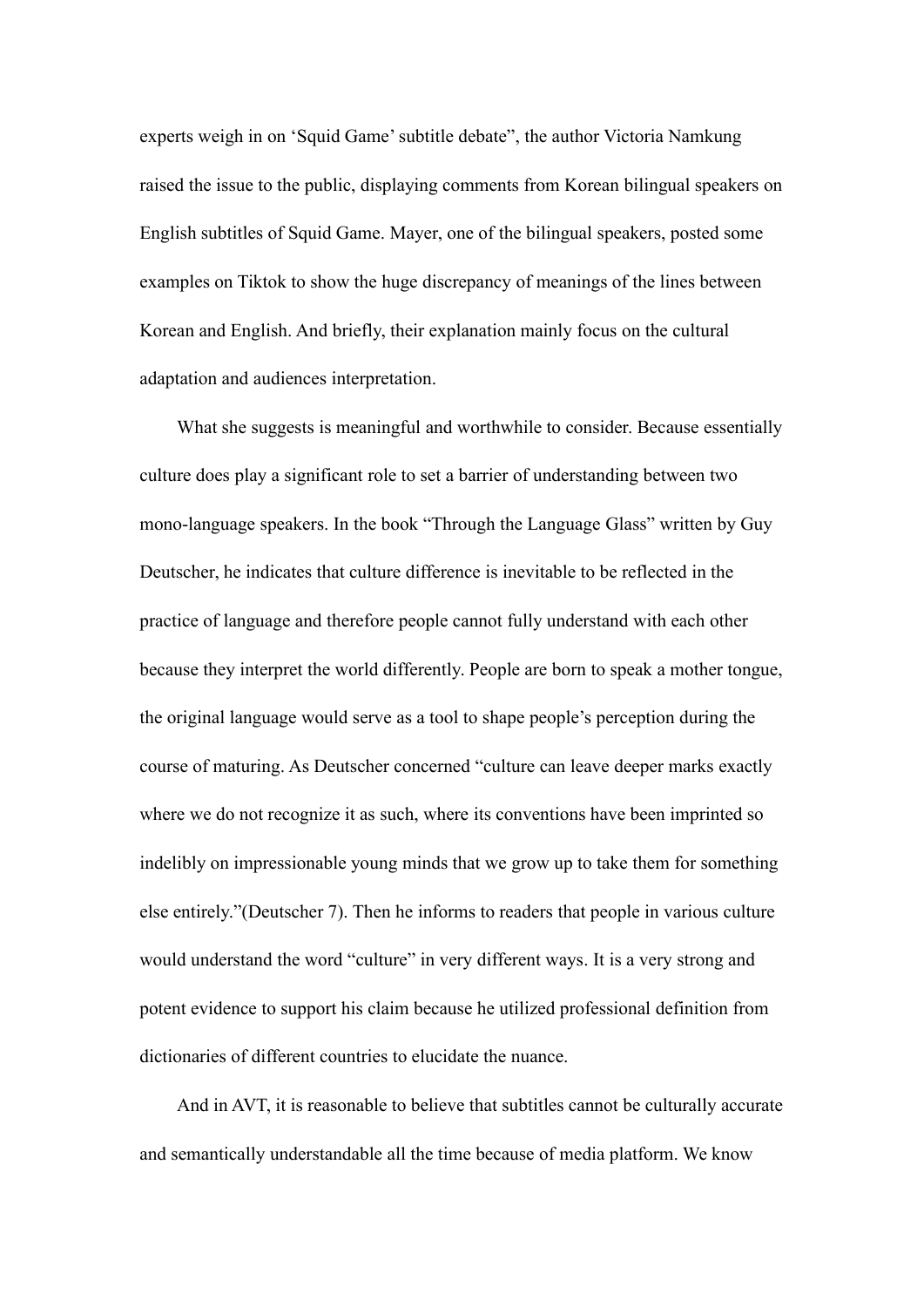experts weigh in on 'Squid Game'subtitle debate", the author Victoria Namkung raised the issue to the public, displaying comments from Korean bilingual speakers on English subtitles of Squid Game. Mayer, one of the bilingual speakers, posted some examples on Tiktok to show the huge discrepancy of meanings of the lines between Korean and English. And briefly, their explanation mainly focus on the cultural adaptation and audiences interpretation.

What she suggests is meaningful and worthwhile to consider. Because essentially culture does play a significant role to set a barrier of understanding between two mono-language speakers. In the book "Through the Language Glass" written by Guy Deutscher, he indicates that culture difference is inevitable to be reflected in the practice of language and therefore people cannot fully understand with each other because they interpret the world differently. People are born to speak a mother tongue, the original language would serve asa tool to shape people's perception during the course of maturing. As Deutscher concerned "culture can leave deeper marks exactly where we do not recognize it as such, where its conventions have been imprinted so indelibly on impressionable young minds that we grow up to take them for something else entirely."(Deutscher 7). Then he informs to readers that people in various culture would understand the word "culture" in very different ways. It is a very strong and potent evidence to support his claim because he utilized professional definition from dictionaries of different countries to elucidate the nuance.

And in AVT, it is reasonable to believe that subtitles cannot be culturally accurate and semantically understandable all the time because of media platform. We know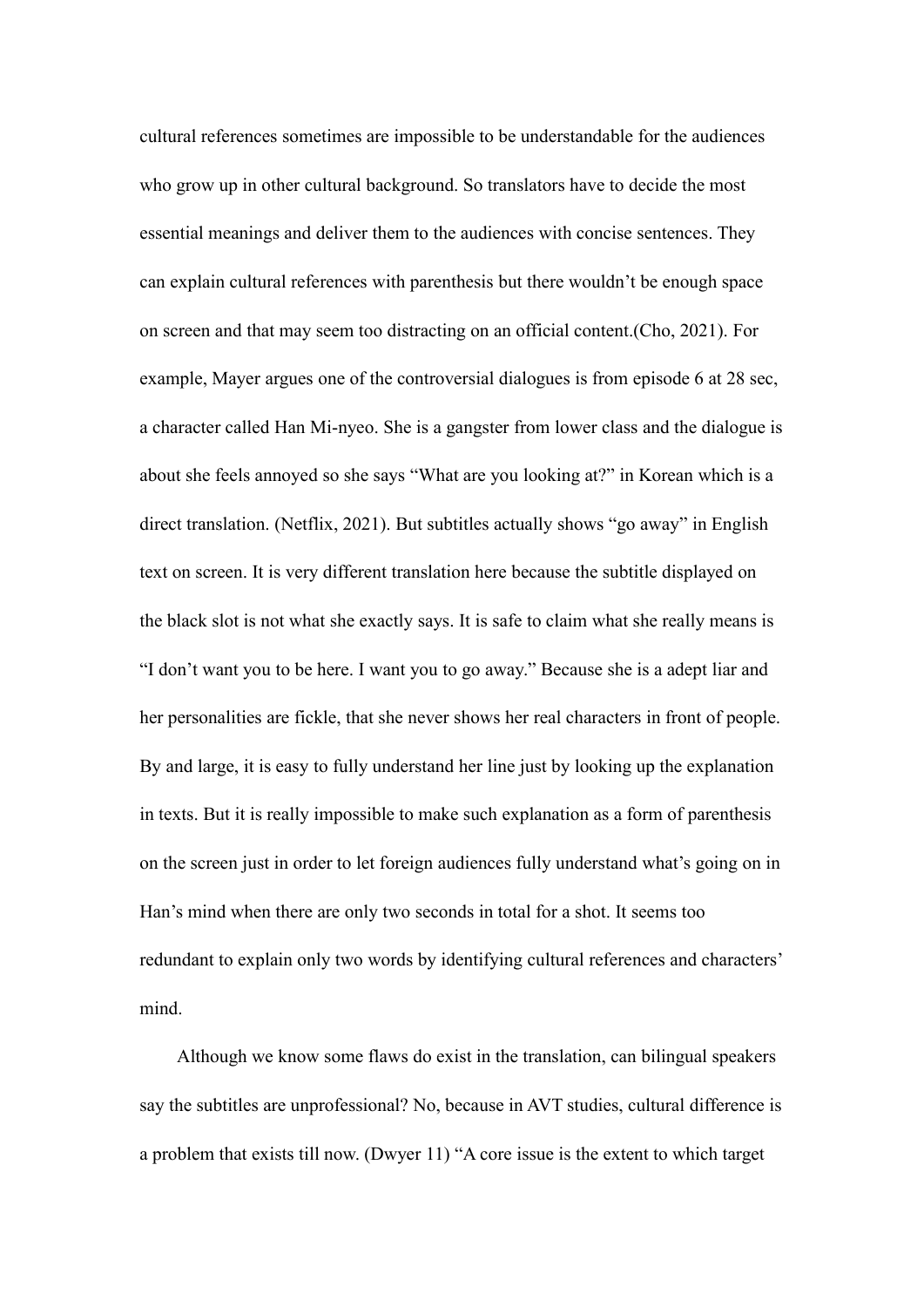cultural references sometimes are impossible to be understandable for the audiences who grow up in other cultural background. So translators have to decide the most essential meanings and deliver them to the audiences with concise sentences. They can explain cultural references with parenthesis but there wouldn't be enough space on screen and that may seem too distracting on an official content.(Cho, 2021). For example, Mayer argues one of the controversial dialogues is from episode 6 at 28 sec, a character called Han Mi-nyeo. She is a gangster from lower class and the dialogue is about she feels annoyed so she says "What are you looking at?" in Korean which is a direct translation. (Netflix, 2021). But subtitles actually shows "go away" in English text on screen. It is very different translation here because the subtitle displayed on the black slot is not what she exactly says. It is safe to claim what she really means is "I don't want you to be here. I want you to go away." Because she is a adept liar and her personalities are fickle, that she never shows her real characters in front of people. By and large, it is easy to fully understand her line just by looking up the explanation in texts. But it is really impossible to make such explanation as a form of parenthesis on the screen just in order to let foreign audiences fully understand what's going on in Han's mind when there are only two seconds in total for a shot. It seems too redundant to explain only two words by identifying cultural references and characters' mind.<br>Although we know some flaws do exist in the translation, can bilingual speakers

say the subtitles are unprofessional? No, because in AVT studies, cultural difference is a problem that exists till now. (Dwyer 11) "A core issue is the extent to which target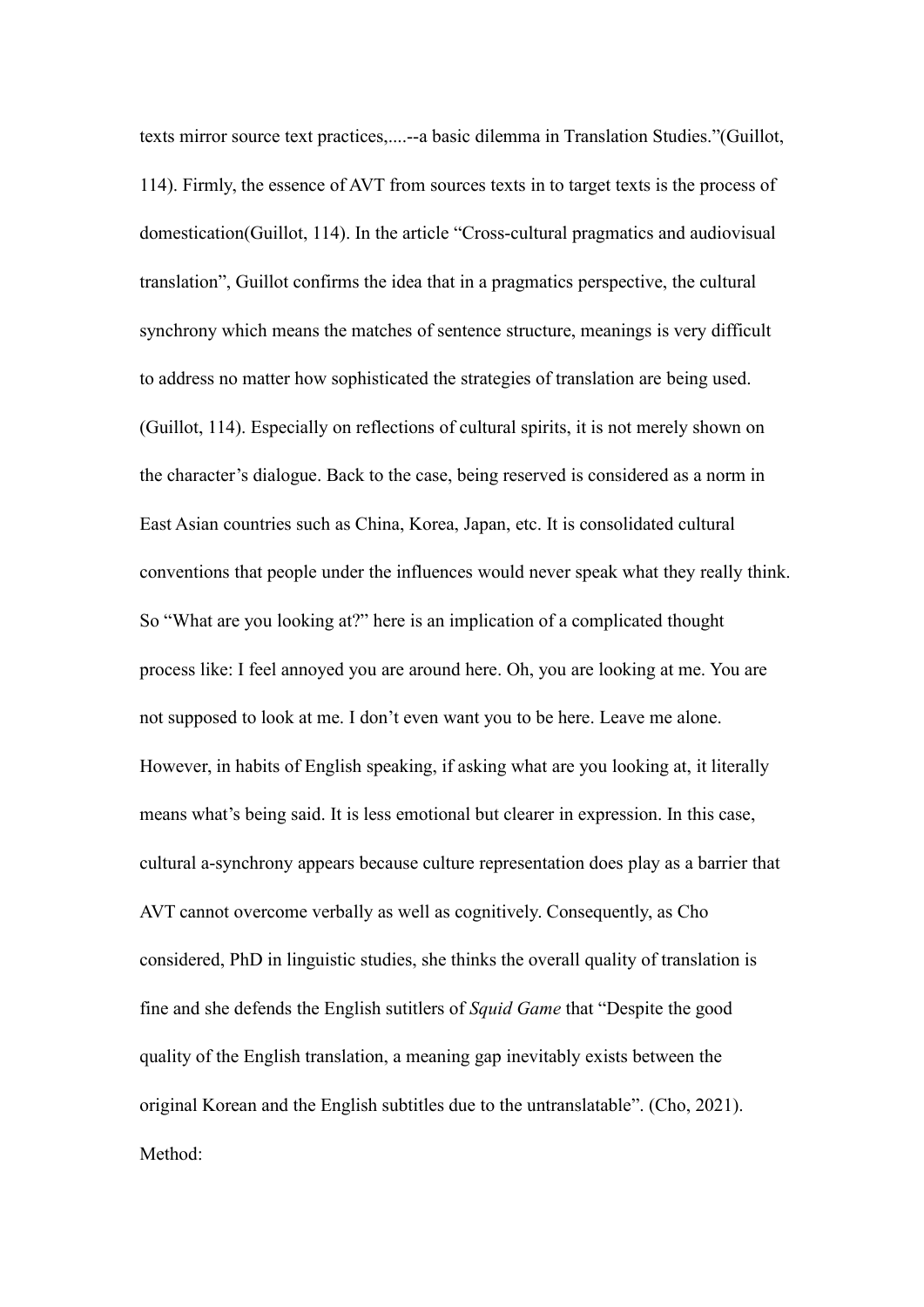texts mirror source text practices,....--a basic dilemma in Translation Studies."(Guillot, 114). Firmly, the essence of AVT from sources texts in to target texts is the process of domestication(Guillot, 114). In the article "Cross-cultural pragmatics and audiovisual translation", Guillot confirms the idea that in a pragmatics perspective, the cultural synchrony which means the matches of sentence structure, meanings is very difficult to address no matter how sophisticated the strategies of translation are being used. (Guillot, 114). Especially on reflections of cultural spirits, it is not merely shown on the character's dialogue. Back to the case, being reserved is considered as a norm in East Asian countries such as China, Korea, Japan, etc. It is consolidated cultural conventions that people under the influences would never speak what they really think. So "What are you looking at?" here is an implication of a complicated thought process like: I feel annoyed you are around here. Oh, you are looking at me. You are not supposed to look at me.I don't even want you to be here. Leave me alone. However, in habits of English speaking, if asking what are you looking at, it literally means what's being said. It is less emotional but clearer in expression.In this case, cultural a-synchrony appears because culture representation does play as a barrier that AVT cannot overcome verbally as well as cognitively. Consequently, as Cho considered, PhD in linguistic studies, she thinks the overall quality of translation is fine and she defends the English sutitlers of*Squid Game* that "Despite the good quality of the English translation, a meaning gap inevitably exists between the original Korean and the English subtitles due to the untranslatable". (Cho, 2021). Method: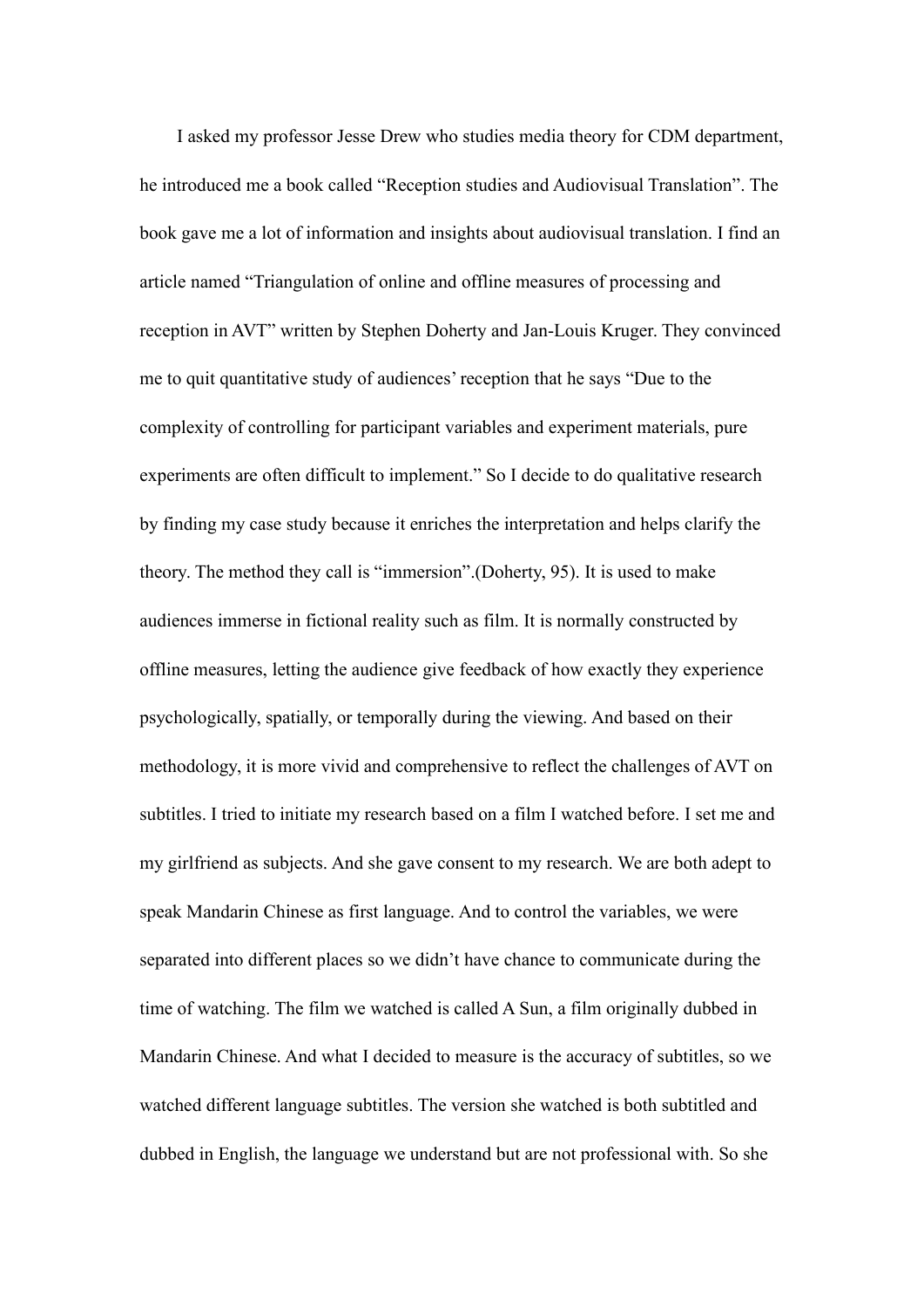I asked my professor Jesse Drew who studies media theory for CDM department, he introduced me a book called "Reception studies and Audiovisual Translation". The book gave me a lot of information and insights about audiovisual translation. I find an article named "Triangulation of online and offline measures of processing and reception in AVT" written by Stephen Doherty and Jan-Louis Kruger. They convinced me to quit quantitative study of audiences' reception that he says "Due to the complexity of controlling for participant variables and experiment materials, pure experiments are often difficult to implement." So I decide to do qualitative research by finding my case study because it enriches the interpretation and helps clarify the theory. The method they call is "immersion".(Doherty, 95). It is used to make audiences immerse in fictional reality such as film. It is normally constructed by offline measures, letting the audience give feedback of how exactly they experience psychologically, spatially, or temporally during the viewing. And based on their methodology, it is more vivid and comprehensive to reflect the challenges of AVT on subtitles. I tried to initiate my research based on a film I watched before. I set me and my girlfriend as subjects. And she gave consent to my research. We are both adept to speak Mandarin Chinese as first language. And to control the variables, we were separated into different places so we didn't have chance to communicate during the time of watching. The film we watched is called A Sun, a film originally dubbed in Mandarin Chinese. And what I decided to measure is the accuracy of subtitles, so we watched different language subtitles. The version she watched is both subtitled and dubbed in English, the language we understand but are not professional with. So she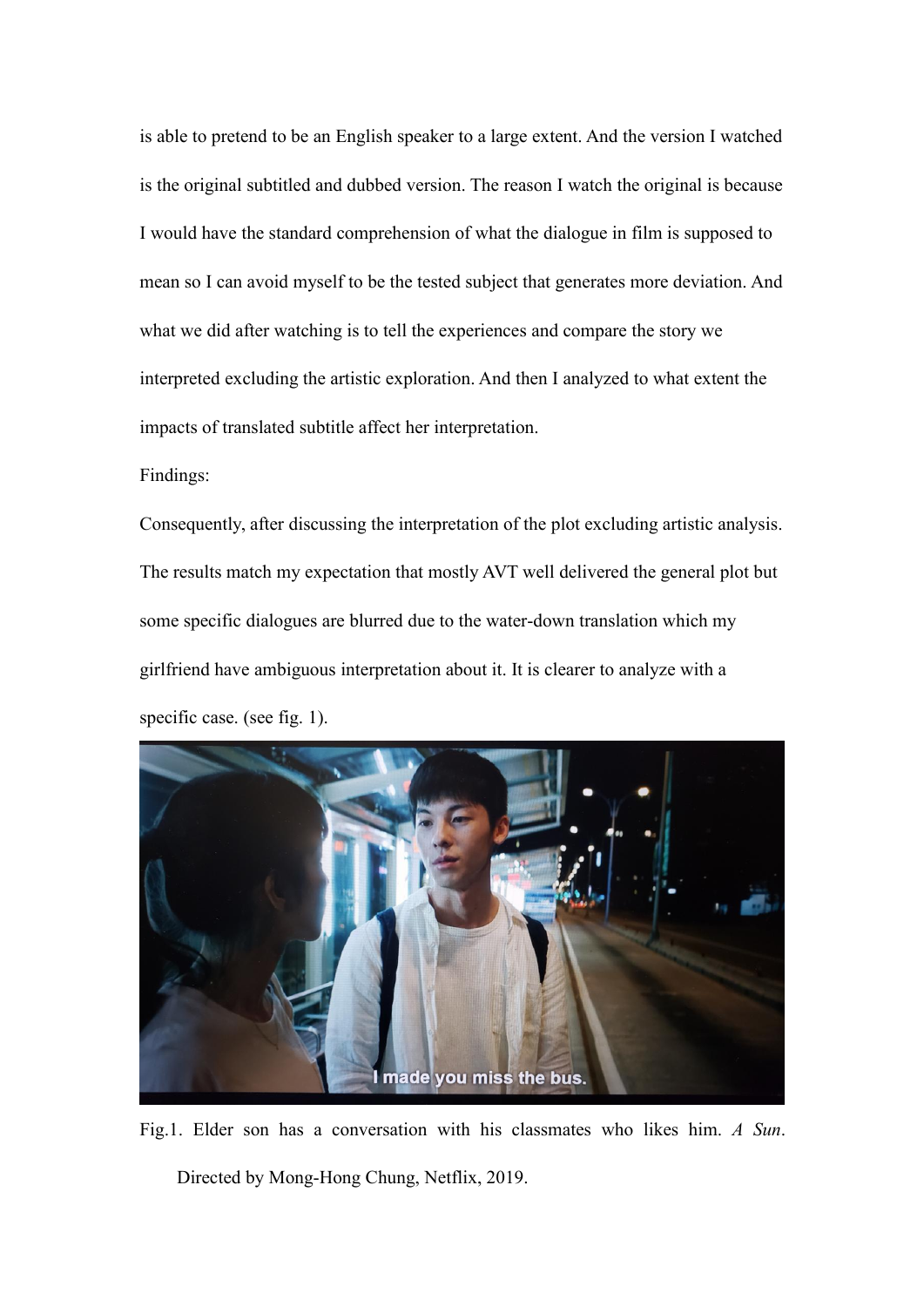is able to pretend to be an English speaker to a large extent. And the version I watched is the original subtitled and dubbed version. The reason I watch the original is because I would have the standard comprehension of what the dialogue in film is supposed to mean so I can avoid myself to be the tested subject that generates more deviation. And what we did after watching is to tell the experiences and compare the story we interpreted excluding the artistic exploration. And then I analyzed to what extent the impacts of translated subtitle affect her interpretation.

Findings:

Consequently, after discussing the interpretation of the plot excluding artistic analysis.<br>The results match my expectation that mostly AVT well delivered the general plot but some specific dialogues are blurred due to the water-down translation which my girlfriend have ambiguous interpretation about it. It is clearer to analyze with a specific case. (see fig. 1).



Fig.1. Elder son has a conversation with his classmates who likes him.*A Sun*. Directed by Mong-Hong Chung, Netflix, 2019.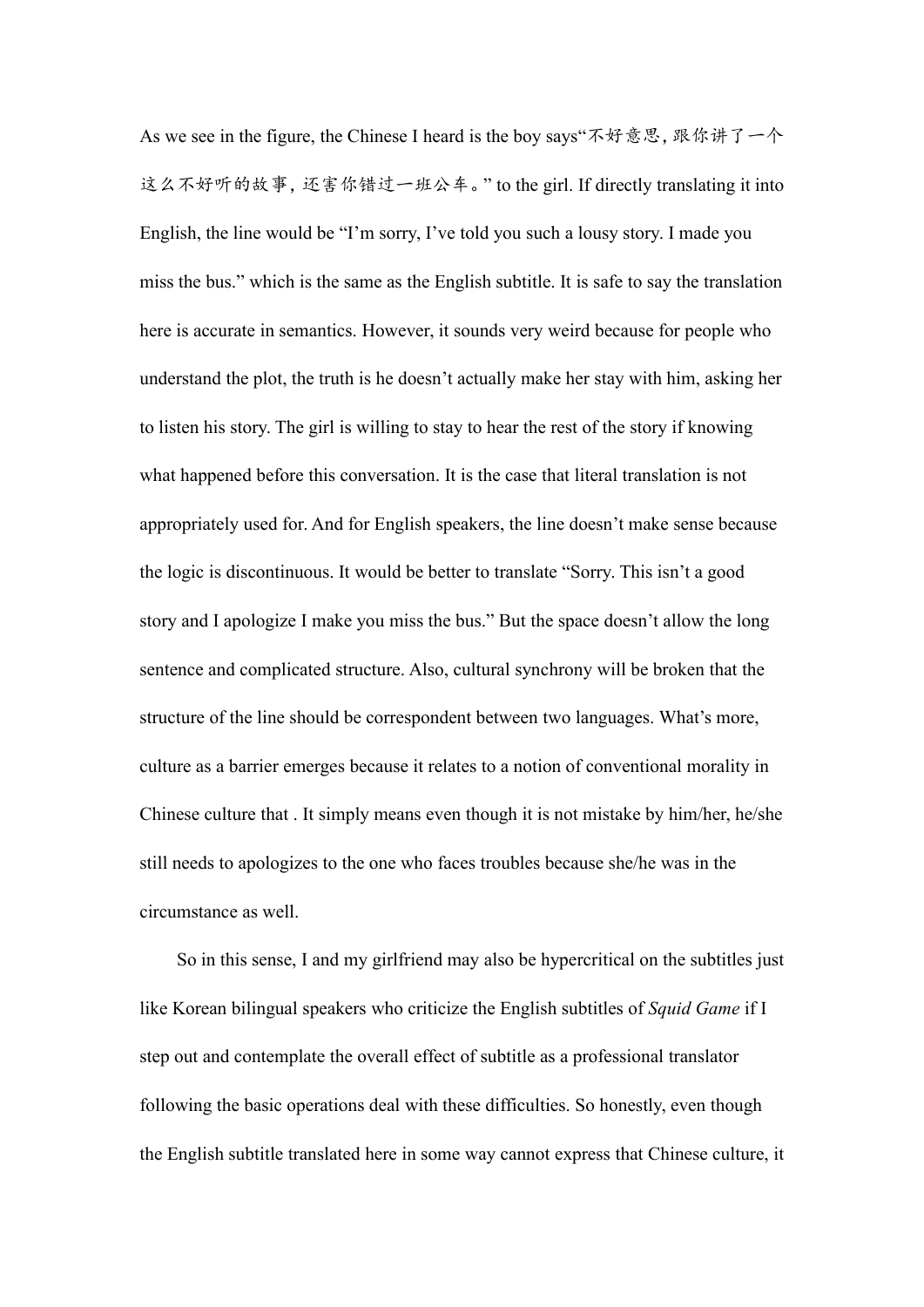As we see in the figure, the Chinese I heard is the boy says"不好意思, 跟你讲了一个 这么不好听的故事,还害你错过一班公车。" to the girl. If directly translating it into English, the line would be "I'm sorry, I've told you such a lousy story. I made you miss the bus." which is the same as the English subtitle. It is safe to say the translation here is accurate in semantics. However, it sounds very weird because for people who understand the plot, the truth is he doesn't actually make her stay with him, asking her to listen his story. The girl is willing to stay to hear the rest of the story if knowing what happened before this conversation. It is the case that literal translation is not appropriately used for. And for English speakers, the line doesn'tmake sense because the logic is discontinuous. It would be better to translate "Sorry. This isn't a good story and I apologize I make you missthe bus." But the space doesn'tallow the long sentence and complicated structure. Also, cultural synchrony will be broken that the structure of the line should be correspondent between two languages. What's more, culture as a barrier emerges because it relates to a notion of conventional morality in Chinese culture that .It simply means even though it is not mistake by him/her, he/she still needs to apologizes to the one who faces troubles because she/he was in the circumstance as well.

So in this sense,I and my girlfriend may also be hypercritical on the subtitles just like Korean bilingual speakers who criticize the English subtitles of*Squid Game* if I step out and contemplate the overall effect of subtitle as a professional translator following the basic operations deal with these difficulties. So honestly, even though the English subtitle translated here in some way cannot express that Chinese culture, it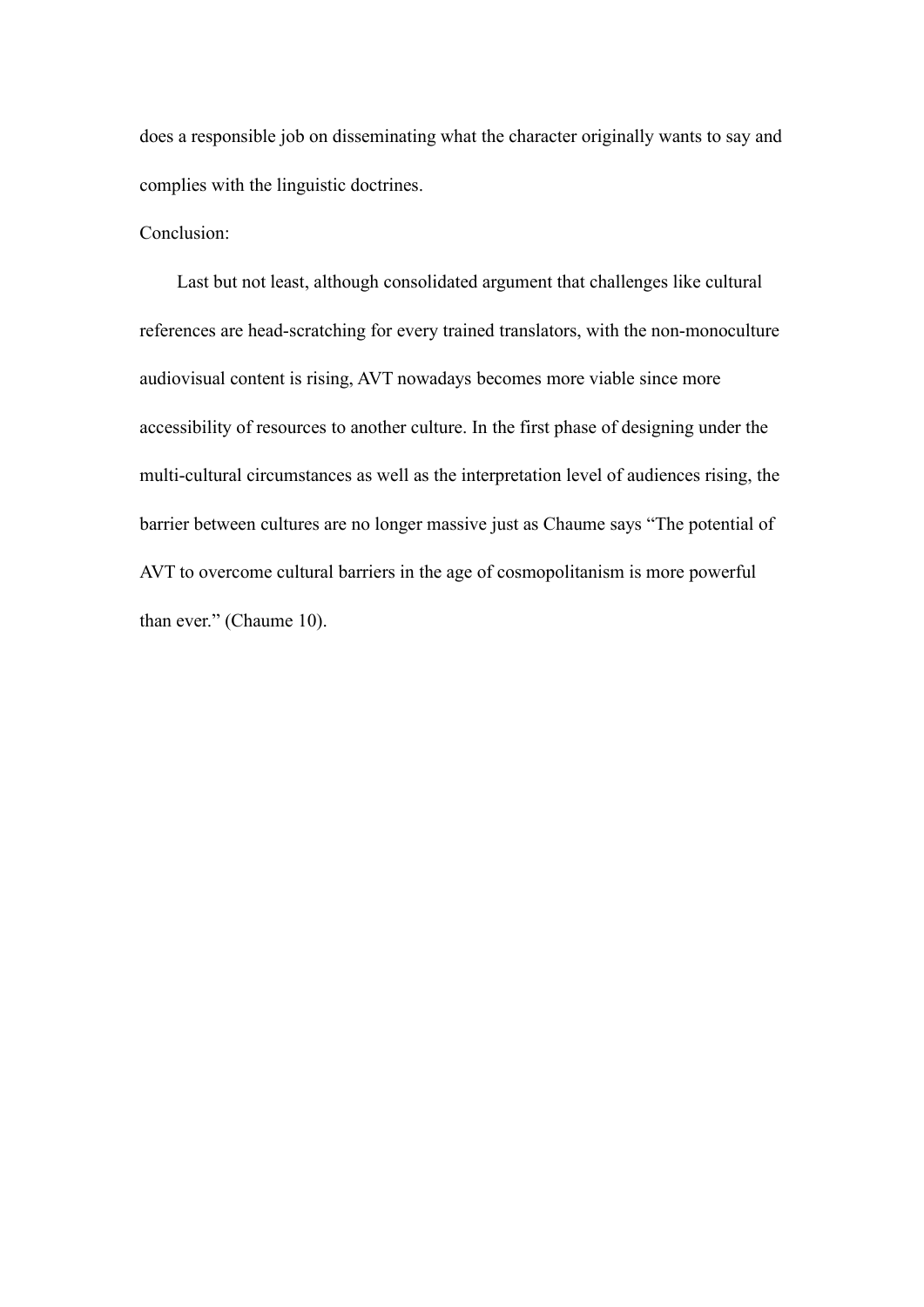does a responsible job on disseminating what the character originally wants to say and complies with the linguistic doctrines.

## Conclusion:

Last but not least, although consolidated argument that challenges like cultural references are head-scratching for every trained translators, with the non-monoculture audiovisual content is rising, AVT nowadays becomes more viable since more accessibility of resources to another culture. In the first phase of designing under the multi-cultural circumstances as well as the interpretation level of audiences rising, the barrier between cultures are no longer massive just as Chaume says "The potential of AVT to overcome cultural barriers in the age of cosmopolitanism is more powerful than ever." (Chaume 10).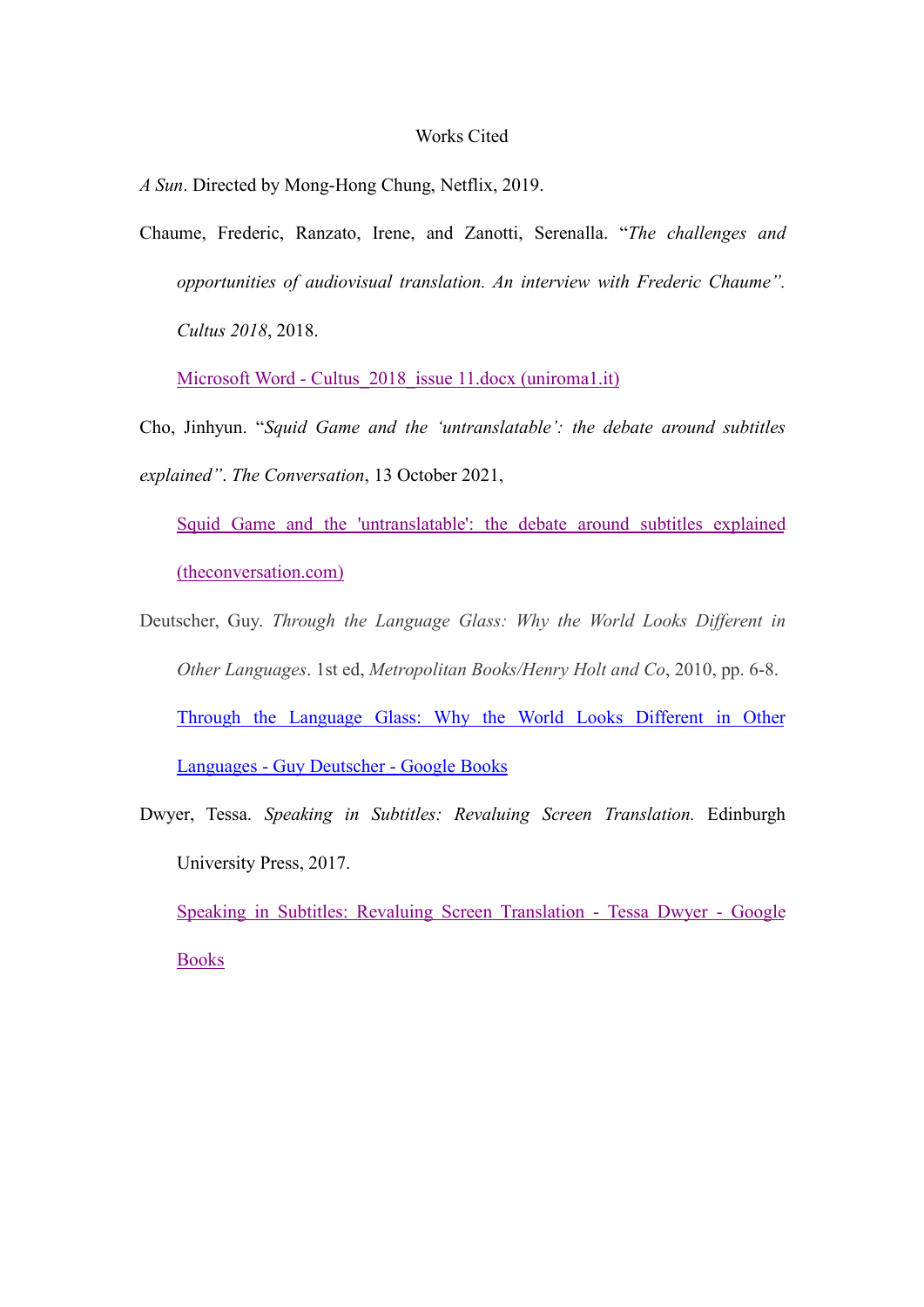## Works Cited

*A Sun*. Directed by Mong-Hong Chung, Netflix, 2019.

Chaume, Frederic, Ranzato, Irene, and Zanotti, Serenalla. "*The challenges and opportunities of audiovisual translation. An interview with Frederic Chaume". Cultus 2018*, 2018.

Microsoft Word - Cultus 2018 issue 11.docx (uniroma1.it)

Cho, Jinhyun. "*Squid Game and the 'untranslatable': the debate around subtitles explained"*. *The Conversation*, 13 October 2021,

Squid Game and the ['untranslatable':](https://theconversation.com/squid-game-and-the-untranslatable-the-debate-around-subtitles-explained-169931) the debate around subtitles explained (theconversation.com)

- Deutscher, Guy. *Through the Language Glass: Why the World Looks Different in Other Languages*. 1st ed, *Metropolitan Books/Henry Holt and Co*, 2010, pp. 6-8. Through the [Language](https://books.google.com/books?hl=en&lr=&id=oore9h_L48EC&oi=fnd&pg=PP1&dq=why+difficult+to+understand+other+languages&ots=b-Rt4RdfDH&sig=tBqrQ9mBsZva81QUS7R71Udse_8) Glass: Why the World Looks Different in Other Languages - Guy Deutscher - Google Books
- Dwyer, Tessa. *Speaking in Subtitles: Revaluing Screen Translation.* Edinburgh University Press, 2017.

Speaking in Subtitles: Revaluing Screen Translation - Tessa Dwyer - Google Books